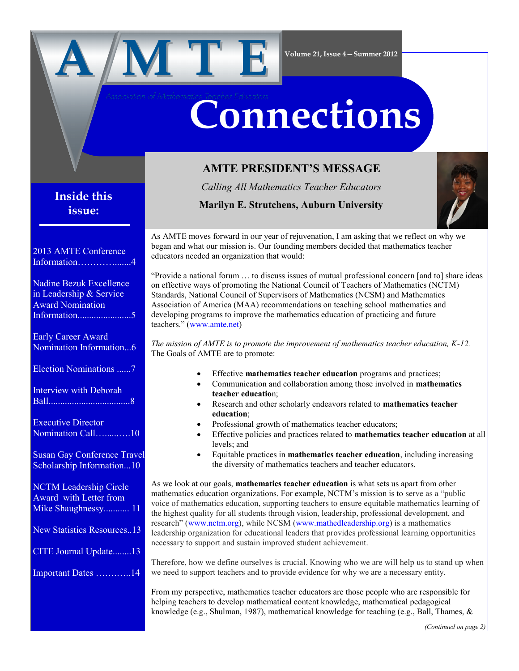

# **Connections**

## **AMTE PRESIDENT'S MESSAGE**

*Calling All Mathematics Teacher Educators*

 **Marilyn E. Strutchens, Auburn University** 



As AMTE moves forward in our year of rejuvenation, I am asking that we reflect on why we began and what our mission is. Our founding members decided that mathematics teacher educators needed an organization that would:

―Provide a national forum … to discuss issues of mutual professional concern [and to] share ideas on effective ways of promoting the National Council of Teachers of Mathematics (NCTM) Standards, National Council of Supervisors of Mathematics (NCSM) and Mathematics Association of America (MAA) recommendations on teaching school mathematics and developing programs to improve the mathematics education of practicing and future teachers.‖ ([www.amte.net\)](http://www.amte.net)

*The mission of AMTE is to promote the improvement of mathematics teacher education, K-12.* The Goals of AMTE are to promote:

- Effective **mathematics teacher education** programs and practices;
- Communication and collaboration among those involved in **mathematics teacher educatio**n;
- Research and other scholarly endeavors related to **mathematics teacher education**;
- Professional growth of mathematics teacher educators;
- Effective policies and practices related to **mathematics teacher education** at all levels; and
- Equitable practices in **mathematics teacher education**, including increasing the diversity of mathematics teachers and teacher educators.

As we look at our goals, **mathematics teacher education** is what sets us apart from other mathematics education organizations. For example, NCTM's mission is to serve as a "public voice of mathematics education, supporting teachers to ensure equitable mathematics learning of the highest quality for all students through vision, leadership, professional development, and research" ([www.nctm.org\)](http://www.nctm.org), while NCSM [\(www.mathedleadership.org\)](http://www.mathedleadership.org/) is a mathematics leadership organization for educational leaders that provides professional learning opportunities necessary to support and sustain improved student achievement.

Therefore, how we define ourselves is crucial. Knowing who we are will help us to stand up when we need to support teachers and to provide evidence for why we are a necessary entity.

From my perspective, mathematics teacher educators are those people who are responsible for helping teachers to develop mathematical content knowledge, mathematical pedagogical knowledge (e.g., Shulman, 1987), mathematical knowledge for teaching (e.g., Ball, Thames, &

## **Inside this issue:**

| 2013 AMTE Conference               |
|------------------------------------|
| Information<br>$\overline{4}$      |
| <b>Nadine Bezuk Excellence</b>     |
| in Leadership & Service            |
| <b>Award Nomination</b>            |
|                                    |
| <b>Early Career Award</b>          |
| Nomination Information6            |
| Election Nominations 7             |
| <b>Interview with Deborah</b>      |
| <b>Ball</b>                        |
| <b>Executive Director</b>          |
| Nomination Call10                  |
| <b>Susan Gay Conference Travel</b> |
| Scholarship Information10          |
| <b>NCTM Leadership Circle</b>      |
| Award with Letter from             |
| Mike Shaughnessy 11                |
| <b>New Statistics Resources13</b>  |
| CITE Journal Update13              |
| Important Dates 14                 |
|                                    |
|                                    |
|                                    |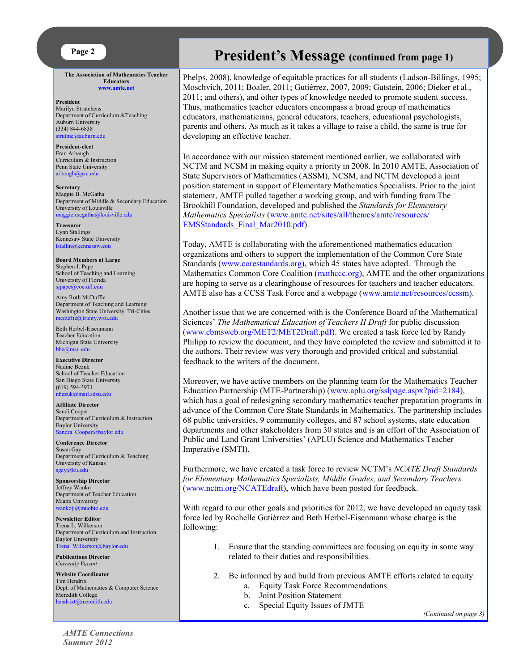

**The Association of Mathematics Teacher Educators [www.amte.net](http://www.amte.net)**

**President** Marilyn Strutchens Department of Curriculum &Teaching Auburn University (334) 844-6838 [strutme@auburn.edu](mailto:strutme@auburn.edu) 

**President-elect** Fran Arbaugh Curriculum & Instruction Penn State University [arbaugh@psu.edu](mailto:arbaugh@psu.edu)

**Secretary** Maggie B. McGatha Department of Middle & Secondary Education University of Louisville [maggie.mcgatha@louisville.edu](mailto:maggie.mcgatha@louisville.edu) 

**Treasurer** Lynn Stallings Kennesaw State University [lstallin@kennesaw.edu](mailto:lstallin@kennesaw.edu)

**Board Members at Large** Stephen J. Pape School of Teaching and Learning University of Florida [sjpape@coe.ufl.edu](mailto:sjpape@coe.ufl.edu)

Amy Roth McDuffie Department of Teaching and Learning Washington State University, Tri-Cities [mcduffie@tricity.wsu.edu](mailto:mcduffie@tricity.wsu.edu)

Beth Herbel-Eisenmann Teacher Education Michigan State University [bhe@msu.edu](mailto:bhe@msu.edu)

**Executive Director** Nadine Bezuk School of Teacher Education San Diego State University (619) 594-3971 [nbezuk@mail.sdsu.edu](mailto:nbezuk@mail.sdsu.edu)

**Affiliate Director** Sandi Cooper Department of Curriculum & Instruction Baylor University Sandra Cooper@baylor.edu

**Conference Director** Susan Gay Department of Curriculum & Teaching University of Kansas [sgay@ku.edu](mailto:sgay@ku.edu)

**Sponsorship Director** Jeffrey Wanko Department of Teacher Education Miami University [wankojj@muohio.edu](mailto:wankojj@muohio.edu)

**Newsletter Editor** Trena L. Wilkerson Department of Curriculum and Instruction Baylor University [Trena\\_Wilkerson@baylor.edu](mailto:Trena_Wilkerson@baylor.edu)

**Publications Director** *Currently Vacant*

**Website Coordinator** Tim Hendrix Dept. of Mathematics & Computer Science Meredith College [hendrixt@meredith.edu](mailto:hendrixt@meredith.edu)

## **President's Message (continued from page 1)**

Phelps, 2008), knowledge of equitable practices for all students (Ladson-Billings, 1995; Moschvich, 2011; Boaler, 2011; Gutiérrez, 2007, 2009; Gutstein, 2006; Dieker et al., 2011; and others), and other types of knowledge needed to promote student success. Thus, mathematics teacher educators encompass a broad group of mathematics educators, mathematicians, general educators, teachers, educational psychologists, parents and others. As much as it takes a village to raise a child, the same is true for developing an effective teacher.

In accordance with our mission statement mentioned earlier, we collaborated with NCTM and NCSM in making equity a priority in 2008. In 2010 AMTE, Association of State Supervisors of Mathematics (ASSM), NCSM, and NCTM developed a joint position statement in support of Elementary Mathematics Specialists. Prior to the joint statement, AMTE pulled together a working group, and with funding from The Brookhill Foundation, developed and published the *Standards for Elementary Mathematics Specialists* ([www.amte.net/sites/all/themes/amte/resources/](http://www.amte.net/sites/all/themes/amte/resources/EMSStandards_Final_Mar2010.pdf) [EMSStandards\\_Final\\_Mar2010.pdf\)](http://www.amte.net/sites/all/themes/amte/resources/EMSStandards_Final_Mar2010.pdf).

Today, AMTE is collaborating with the aforementioned mathematics education organizations and others to support the implementation of the Common Core State Standards [\(www.corestandards.org\)](http://www.corestandards.org), which 45 states have adopted. Through the Mathematics Common Core Coalition ([mathccc.org\)](http://www.mathccc.org), AMTE and the other organizations are hoping to serve as a clearinghouse of resources for teachers and teacher educators. AMTE also has a CCSS Task Force and a webpage ([www.amte.net/resources/ccssm\).](http://www.amte.net/resources/ccssm)

Another issue that we are concerned with is the Conference Board of the Mathematical Sciences' *The Mathematical Education of Teachers II Draft* for public discussion (www.cbmsweb.org/MET2/MET2Draft.pdf). We created a task force led by Randy Philipp to review the document, and they have completed the review and submitted it to the authors. Their review was very thorough and provided critical and substantial feedback to the writers of the document.

Moreover, we have active members on the planning team for the Mathematics Teacher Education Partnership (MTE-Partnership) ([www.aplu.org/sslpage.aspx?pid=2184\)](http://www.aplu.org/sslpage.aspx?pid=2184), which has a goal of redesigning secondary mathematics teacher preparation programs in advance of the Common Core State Standards in Mathematics. The partnership includes 68 public universities, 9 community colleges, and 87 school systems, state education departments and other stakeholders from 30 states and is an effort of the Association of Public and Land Grant Universities' (APLU) Science and Mathematics Teacher Imperative (SMTI).

Furthermore, we have created a task force to review NCTM's *NCATE Draft Standards for Elementary Mathematics Specialists, Middle Grades, and Secondary Teachers* [\(www.nctm.org/NCATEdraft\),](http://www.nctm.org/NCATEdraft) which have been posted for feedback.

With regard to our other goals and priorities for 2012, we have developed an equity task force led by Rochelle Gutiérrez and Beth Herbel-Eisenmann whose charge is the following:

- 1. Ensure that the standing committees are focusing on equity in some way related to their duties and responsibilities.
- 2. Be informed by and build from previous AMTE efforts related to equity:
	- a. Equity Task Force Recommendations b. Joint Position Statement
	- c. Special Equity Issues of JMTE

*(Continued on page 3)*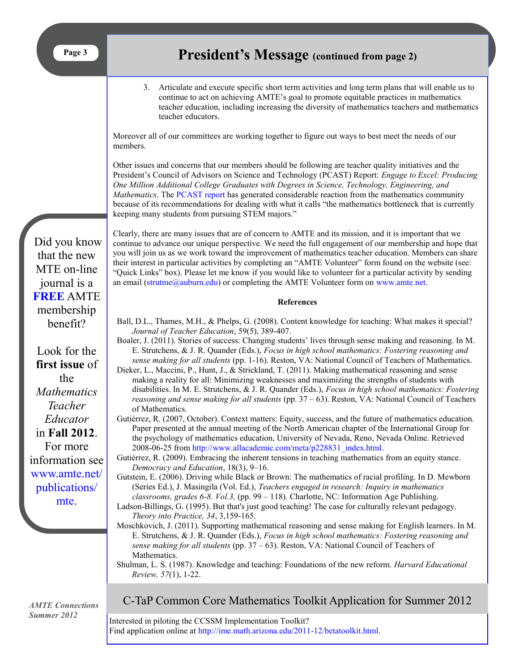3. Articulate and execute specific short term activities and long term plans that will enable us to continue to act on achieving AMTE's goal to promote equitable practices in mathematics teacher education, including increasing the diversity of mathematics teachers and mathematics teacher educators.

Moreover all of our committees are working together to figure out ways to best meet the needs of our members.

Other issues and concerns that our members should be following are teacher quality initiatives and the President's Council of Advisors on Science and Technology (PCAST) Report: *Engage to Excel: Producing One Million Additional College Graduates with Degrees in Science, Technology, Engineering, and Mathematics*. The [PCAST report](http://www.whitehouse.gov/administration/eop/ostp/pcast/docsreports) has generated considerable reaction from the mathematics community because of its recommendations for dealing with what it calls "the mathematics bottleneck that is currently keeping many students from pursuing STEM majors."

Clearly, there are many issues that are of concern to AMTE and its mission, and it is important that we continue to advance our unique perspective. We need the full engagement of our membership and hope that you will join us as we work toward the improvement of mathematics teacher education. Members can share their interest in particular activities by completing an "AMTE Volunteer" form found on the website (see: ―Quick Links‖ box). Please let me know if you would like to volunteer for a particular activity by sending an email (strutme $@a$ uburn.edu) or completing the AMTE Volunteer form on [www.amte.net.](http://www.amte.net.)

#### **References**

- Ball, D.L., Thames, M.H., & Phelps, G. (2008). Content knowledge for teaching: What makes it special? *Journal of Teacher Education*, 59(5), 389-407.
- Boaler, J. (2011). Stories of success: Changing students' lives through sense making and reasoning. In M. E. Strutchens, & J. R. Quander (Eds.), *Focus in high school mathematics: Fostering reasoning and sense making for all students* (pp. 1-16). Reston, VA: National Council of Teachers of Mathematics.
- Dieker, L., Maccini, P., Hunt, J., & Strickland, T. (2011). Making mathematical reasoning and sense making a reality for all: Minimizing weaknesses and maximizing the strengths of students with disabilities. In M. E. Strutchens, & J. R. Quander (Eds.), *Focus in high school mathematics: Fostering reasoning and sense making for all students* (pp. 37 – 63). Reston, VA: National Council of Teachers of Mathematics.
- Gutiérrez, R. (2007, October). Context matters: Equity, success, and the future of mathematics education. Paper presented at the annual meeting of the North American chapter of the International Group for the psychology of mathematics education, University of Nevada, Reno, Nevada Online. Retrieved 2008-06-25 from http://www.allacademic.com/meta/p228831\_index.html.
- Gutiérrez, R. (2009). Embracing the inherent tensions in teaching mathematics from an equity stance. *Democracy and Education*, 18(3), 9–16.

Gutstein, E. (2006). Driving while Black or Brown: The mathematics of racial profiling. In D. Mewborn (Series Ed.), J. Masingila (Vol. Ed.), *Teachers engaged in research: Inquiry in mathematics classrooms, grades 6-8. Vol.3,* (pp. 99 – 118). Charlotte, NC: Information Age Publishing.

- Ladson-Billings, G. (1995). But that's just good teaching! The case for culturally relevant pedagogy. *Theory into Practice, 34*, 3,159-165.
- Moschkovich, J. (2011). Supporting mathematical reasoning and sense making for English learners. In M. E. Strutchens, & J. R. Quander (Eds.), *Focus in high school mathematics: Fostering reasoning and sense making for all students* (pp. 37 – 63). Reston, VA: National Council of Teachers of Mathematics.
- Shulman, L. S. (1987). Knowledge and teaching: Foundations of the new reform. *Harvard Educational Review, 57*(1), 1-22.

*AMTE Connections Summer 2012*

## C-TaP Common Core Mathematics Toolkit Application for Summer 2012

Interested in piloting the CCSSM Implementation Toolkit? Find application online at [http://ime.math.arizona.edu/2011-12/betatoolkit.html.](http://ime.math.arizona.edu/2011-12/betatoolkit.html)

Did you know that the new MTE on-line journal is a **FREE** AMTE membership benefit?

Look for the **first issue** of the *Mathematics Teacher Educator*  in **Fall 2012**. For more information see [www.amte.net/](http://www.amte.net/publications/mte) [publications/](http://www.amte.net/publications/mte) [mte.](http://www.amte.net/publications/mte)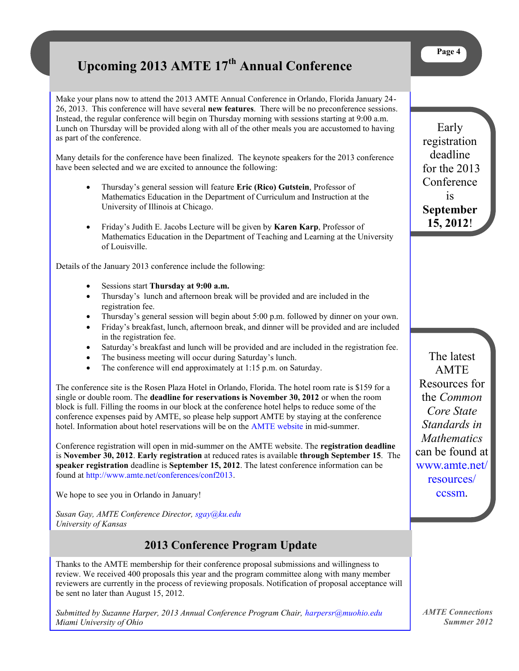# <span id="page-3-0"></span>**Upcoming 2013 AMTE 17th Annual Conference**

Make your plans now to attend the 2013 AMTE Annual Conference in Orlando, Florida January 24- 26, 2013. This conference will have several **new features**. There will be no preconference sessions. Instead, the regular conference will begin on Thursday morning with sessions starting at 9:00 a.m. Lunch on Thursday will be provided along with all of the other meals you are accustomed to having as part of the conference.

Many details for the conference have been finalized. The keynote speakers for the 2013 conference have been selected and we are excited to announce the following:

- Thursday's general session will feature **Eric (Rico) Gutstein**, Professor of Mathematics Education in the Department of Curriculum and Instruction at the University of Illinois at Chicago.
- Friday's Judith E. Jacobs Lecture will be given by **Karen Karp**, Professor of Mathematics Education in the Department of Teaching and Learning at the University of Louisville.

Details of the January 2013 conference include the following:

- Sessions start **Thursday at 9:00 a.m.**
- Thursday's lunch and afternoon break will be provided and are included in the registration fee.
- Thursday's general session will begin about 5:00 p.m. followed by dinner on your own.
- Friday's breakfast, lunch, afternoon break, and dinner will be provided and are included in the registration fee.
- Saturday's breakfast and lunch will be provided and are included in the registration fee.
- The business meeting will occur during Saturday's lunch.
- The conference will end approximately at 1:15 p.m. on Saturday.

The conference site is the Rosen Plaza Hotel in Orlando, Florida. The hotel room rate is \$159 for a single or double room. The **deadline for reservations is November 30, 2012** or when the room block is full. Filling the rooms in our block at the conference hotel helps to reduce some of the conference expenses paid by AMTE, so please help support AMTE by staying at the conference hotel. Information about hotel reservations will be on the [AMTE website](http://www.amte.net) in mid-summer.

Conference registration will open in mid-summer on the AMTE website. The **registration deadline**  is **November 30, 2012**. **Early registration** at reduced rates is available **through September 15**. The **speaker registration** deadline is **September 15, 2012**. The latest conference information can be found at [http://www.amte.net/conferences/conf2013.](http://www.amte.net/conferences/conf2013)

We hope to see you in Orlando in January!

*Susan Gay, AMTE Conference Director, sgay@ku.edu University of Kansas*

## **2013 Conference Program Update**

Thanks to the AMTE membership for their conference proposal submissions and willingness to review. We received 400 proposals this year and the program committee along with many member reviewers are currently in the process of reviewing proposals. Notification of proposal acceptance will be sent no later than August 15, 2012.

*Submitted by Suzanne Harper, 2013 Annual Conference Program Chair, [harpersr@muohio.edu](mailto:harpersr@muohio.edu) Miami University of Ohio*

Early registration deadline for the 2013 **Conference** is **September 15, 2012**!

The latest **AMTE** Resources for the *Common Core State Standards in Mathematics*  can be found at [www.amte.net/](http://www.amte.net/resources/ccssm) [resources/](http://www.amte.net/resources/ccssm) [ccssm.](http://www.amte.net/resources/ccssm)

*AMTE Connections Summer 2012*

## **Page 4**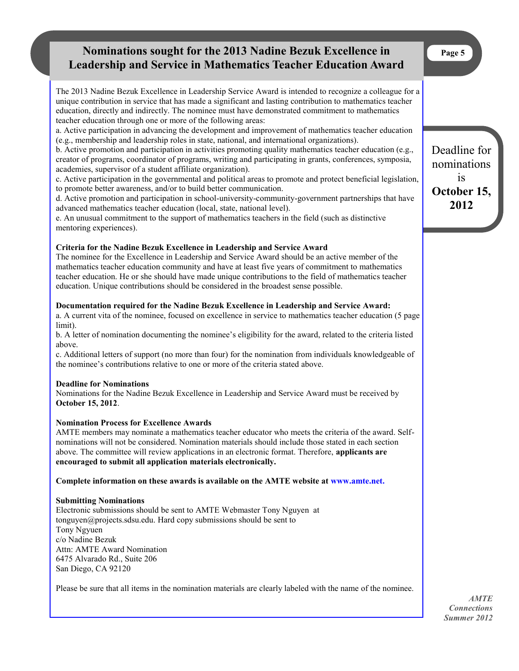## <span id="page-4-0"></span>**Nominations sought for the 2013 Nadine Bezuk Excellence in Page 5 Leadership and Service in Mathematics Teacher Education Award**

The 2013 Nadine Bezuk Excellence in Leadership Service Award is intended to recognize a colleague for a unique contribution in service that has made a significant and lasting contribution to mathematics teacher education, directly and indirectly. The nominee must have demonstrated commitment to mathematics teacher education through one or more of the following areas:

a. Active participation in advancing the development and improvement of mathematics teacher education (e.g., membership and leadership roles in state, national, and international organizations).

b. Active promotion and participation in activities promoting quality mathematics teacher education (e.g., creator of programs, coordinator of programs, writing and participating in grants, conferences, symposia, academies, supervisor of a student affiliate organization).

c. Active participation in the governmental and political areas to promote and protect beneficial legislation, to promote better awareness, and/or to build better communication.

d. Active promotion and participation in school-university-community-government partnerships that have advanced mathematics teacher education (local, state, national level).

e. An unusual commitment to the support of mathematics teachers in the field (such as distinctive mentoring experiences).

## **Criteria for the Nadine Bezuk Excellence in Leadership and Service Award**

The nominee for the Excellence in Leadership and Service Award should be an active member of the mathematics teacher education community and have at least five years of commitment to mathematics teacher education. He or she should have made unique contributions to the field of mathematics teacher education. Unique contributions should be considered in the broadest sense possible.

#### **Documentation required for the Nadine Bezuk Excellence in Leadership and Service Award:**

a. A current vita of the nominee, focused on excellence in service to mathematics teacher education (5 page limit)

b. A letter of nomination documenting the nominee's eligibility for the award, related to the criteria listed above.

c. Additional letters of support (no more than four) for the nomination from individuals knowledgeable of the nominee's contributions relative to one or more of the criteria stated above.

#### **Deadline for Nominations**

Nominations for the Nadine Bezuk Excellence in Leadership and Service Award must be received by **October 15, 2012**.

#### **Nomination Process for Excellence Awards**

AMTE members may nominate a mathematics teacher educator who meets the criteria of the award. Selfnominations will not be considered. Nomination materials should include those stated in each section above. The committee will review applications in an electronic format. Therefore, **applicants are encouraged to submit all application materials electronically.**

#### **Complete information on these awards is available on the AMTE website at [www.amte.net.](http://www.amte.net.)**

#### **Submitting Nominations**

Electronic submissions should be sent to AMTE Webmaster Tony Nguyen at tonguyen@projects.sdsu.edu. Hard copy submissions should be sent to Tony Ngyuen c/o Nadine Bezuk Attn: AMTE Award Nomination 6475 Alvarado Rd., Suite 206 San Diego, CA 92120

Please be sure that all items in the nomination materials are clearly labeled with the name of the nominee.

*AMTE Connections Summer 2012*

Deadline for nominations is **October 15, 2012**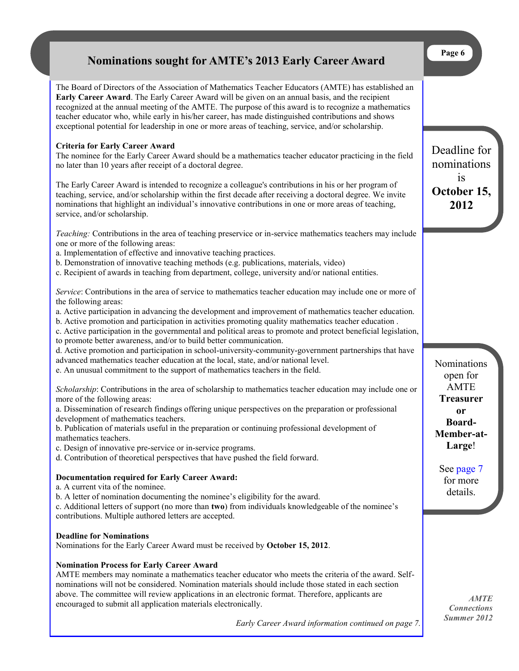## **Nominations sought for AMTE's 2013 Early Career Award**

<span id="page-5-0"></span>The Board of Directors of the Association of Mathematics Teacher Educators (AMTE) has established an **Early Career Award**. The Early Career Award will be given on an annual basis, and the recipient recognized at the annual meeting of the AMTE. The purpose of this award is to recognize a mathematics teacher educator who, while early in his/her career, has made distinguished contributions and shows exceptional potential for leadership in one or more areas of teaching, service, and/or scholarship.

## **Criteria for Early Career Award**

The nominee for the Early Career Award should be a mathematics teacher educator practicing in the field no later than 10 years after receipt of a doctoral degree.

The Early Career Award is intended to recognize a colleague's contributions in his or her program of teaching, service, and/or scholarship within the first decade after receiving a doctoral degree. We invite nominations that highlight an individual's innovative contributions in one or more areas of teaching, service, and/or scholarship.

*Teaching:* Contributions in the area of teaching preservice or in-service mathematics teachers may include one or more of the following areas:

a. Implementation of effective and innovative teaching practices.

b. Demonstration of innovative teaching methods (e.g. publications, materials, video)

c. Recipient of awards in teaching from department, college, university and/or national entities.

*Service*: Contributions in the area of service to mathematics teacher education may include one or more of the following areas:

a. Active participation in advancing the development and improvement of mathematics teacher education.

b. Active promotion and participation in activities promoting quality mathematics teacher education .

c. Active participation in the governmental and political areas to promote and protect beneficial legislation,

to promote better awareness, and/or to build better communication.

d. Active promotion and participation in school-university-community-government partnerships that have advanced mathematics teacher education at the local, state, and/or national level.

e. An unusual commitment to the support of mathematics teachers in the field.

*Scholarship*: Contributions in the area of scholarship to mathematics teacher education may include one or more of the following areas:

a. Dissemination of research findings offering unique perspectives on the preparation or professional development of mathematics teachers.

b. Publication of materials useful in the preparation or continuing professional development of mathematics teachers.

c. Design of innovative pre-service or in-service programs.

d. Contribution of theoretical perspectives that have pushed the field forward.

## **Documentation required for Early Career Award:**

a. A current vita of the nominee.

b. A letter of nomination documenting the nominee's eligibility for the award.

c. Additional letters of support (no more than **two**) from individuals knowledgeable of the nominee's contributions. Multiple authored letters are accepted.

### **Deadline for Nominations**

Nominations for the Early Career Award must be received by **October 15, 2012**.

#### **Nomination Process for Early Career Award**

AMTE members may nominate a mathematics teacher educator who meets the criteria of the award. Selfnominations will not be considered. Nomination materials should include those stated in each section above. The committee will review applications in an electronic format. Therefore, applicants are encouraged to submit all application materials electronically.

*Early Career Award information continued on page 7.*

Nominations open for AMTE **Treasurer or Board-Member-at-Large**!

See [page](#page-6-0) [7](#page-6-0) for more details.

*AMTE Connections Summer 2012*

**Page 6**

Deadline for nominations is **October 15, 2012**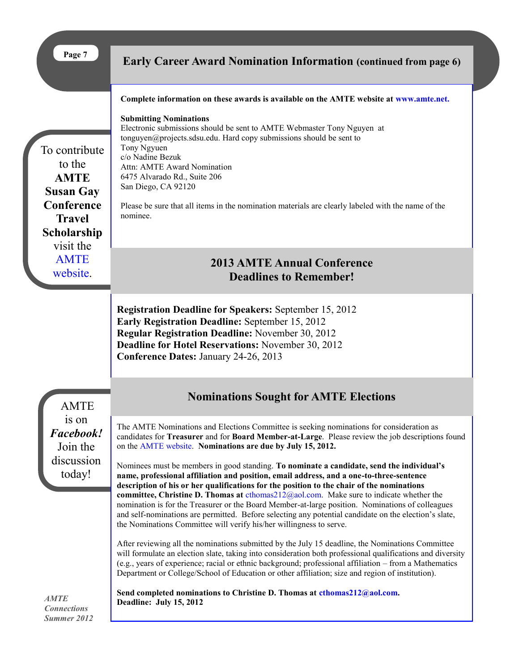<span id="page-6-0"></span>

| Page 7                                                                                                                                           | <b>Early Career Award Nomination Information (continued from page 6)</b>                                                                                                                                                                                                                                                                                                                                                                                                                                                                                                                                                                                                                                                                                                                                                                                                                                                                                                                                                                                                                                                                                                                                                                                                                                                                                          |
|--------------------------------------------------------------------------------------------------------------------------------------------------|-------------------------------------------------------------------------------------------------------------------------------------------------------------------------------------------------------------------------------------------------------------------------------------------------------------------------------------------------------------------------------------------------------------------------------------------------------------------------------------------------------------------------------------------------------------------------------------------------------------------------------------------------------------------------------------------------------------------------------------------------------------------------------------------------------------------------------------------------------------------------------------------------------------------------------------------------------------------------------------------------------------------------------------------------------------------------------------------------------------------------------------------------------------------------------------------------------------------------------------------------------------------------------------------------------------------------------------------------------------------|
| To contribute<br>to the<br><b>AMTE</b><br><b>Susan Gay</b><br>Conference<br><b>Travel</b><br>Scholarship<br>visit the<br><b>AMTE</b><br>website. | Complete information on these awards is available on the AMTE website at www.amte.net.<br><b>Submitting Nominations</b><br>Electronic submissions should be sent to AMTE Webmaster Tony Nguyen at<br>tonguyen@projects.sdsu.edu. Hard copy submissions should be sent to<br>Tony Ngyuen<br>c/o Nadine Bezuk<br><b>Attn: AMTE Award Nomination</b><br>6475 Alvarado Rd., Suite 206<br>San Diego, CA 92120<br>Please be sure that all items in the nomination materials are clearly labeled with the name of the<br>nominee.                                                                                                                                                                                                                                                                                                                                                                                                                                                                                                                                                                                                                                                                                                                                                                                                                                        |
|                                                                                                                                                  | <b>2013 AMTE Annual Conference</b><br><b>Deadlines to Remember!</b>                                                                                                                                                                                                                                                                                                                                                                                                                                                                                                                                                                                                                                                                                                                                                                                                                                                                                                                                                                                                                                                                                                                                                                                                                                                                                               |
|                                                                                                                                                  | <b>Registration Deadline for Speakers: September 15, 2012</b><br><b>Early Registration Deadline: September 15, 2012</b><br>Regular Registration Deadline: November 30, 2012<br>Deadline for Hotel Reservations: November 30, 2012<br><b>Conference Dates: January 24-26, 2013</b>                                                                                                                                                                                                                                                                                                                                                                                                                                                                                                                                                                                                                                                                                                                                                                                                                                                                                                                                                                                                                                                                                 |
| <b>AMTE</b>                                                                                                                                      | <b>Nominations Sought for AMTE Elections</b>                                                                                                                                                                                                                                                                                                                                                                                                                                                                                                                                                                                                                                                                                                                                                                                                                                                                                                                                                                                                                                                                                                                                                                                                                                                                                                                      |
| 1S On<br>Facebook!<br>Join the<br>discussion<br>today!                                                                                           | The AMTE Nominations and Elections Committee is seeking nominations for consideration as<br>candidates for Treasurer and for Board Member-at-Large. Please review the job descriptions found<br>on the AMTE website. Nominations are due by July 15, 2012.<br>Nominees must be members in good standing. To nominate a candidate, send the individual's<br>name, professional affiliation and position, email address, and a one-to-three-sentence<br>description of his or her qualifications for the position to the chair of the nominations<br>committee, Christine D. Thomas at $ethomas212@aol.com$ . Make sure to indicate whether the<br>nomination is for the Treasurer or the Board Member-at-large position. Nominations of colleagues<br>and self-nominations are permitted. Before selecting any potential candidate on the election's slate,<br>the Nominations Committee will verify his/her willingness to serve.<br>After reviewing all the nominations submitted by the July 15 deadline, the Nominations Committee<br>will formulate an election slate, taking into consideration both professional qualifications and diversity<br>(e.g., years of experience; racial or ethnic background; professional affiliation - from a Mathematics<br>Department or College/School of Education or other affiliation; size and region of institution). |
| <b>AMTE</b><br><b>Connections</b><br>Summer 2012                                                                                                 | Send completed nominations to Christine D. Thomas at cthomas212@aol.com.<br>Deadline: July 15, 2012                                                                                                                                                                                                                                                                                                                                                                                                                                                                                                                                                                                                                                                                                                                                                                                                                                                                                                                                                                                                                                                                                                                                                                                                                                                               |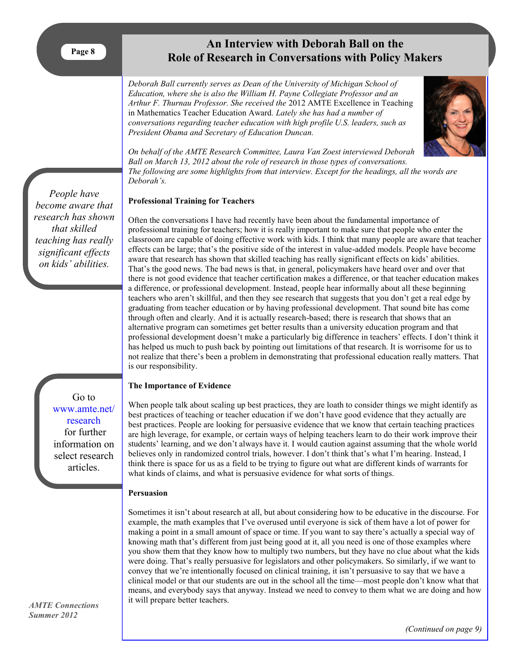## **An Interview with Deborah Ball on the Role of Research in Conversations with Policy Makers**

<span id="page-7-0"></span>*Deborah Ball currently serves as Dean of the University of Michigan School of Education, where she is also the William H. Payne Collegiate Professor and an Arthur F. Thurnau Professor. She received the* 2012 AMTE Excellence in Teaching in Mathematics Teacher Education Award*. Lately she has had a number of conversations regarding teacher education with high profile U.S. leaders, such as President Obama and Secretary of Education Duncan.* 



*On behalf of the AMTE Research Committee, Laura Van Zoest interviewed Deborah Ball on March 13, 2012 about the role of research in those types of conversations. The following are some highlights from that interview. Except for the headings, all the words are Deborah's.*

## **Professional Training for Teachers**

Often the conversations I have had recently have been about the fundamental importance of professional training for teachers; how it is really important to make sure that people who enter the classroom are capable of doing effective work with kids. I think that many people are aware that teacher effects can be large; that's the positive side of the interest in value-added models. People have become aware that research has shown that skilled teaching has really significant effects on kids' abilities. That's the good news. The bad news is that, in general, policymakers have heard over and over that there is not good evidence that teacher certification makes a difference, or that teacher education makes a difference, or professional development. Instead, people hear informally about all these beginning teachers who aren't skillful, and then they see research that suggests that you don't get a real edge by graduating from teacher education or by having professional development. That sound bite has come through often and clearly. And it is actually research-based; there is research that shows that an alternative program can sometimes get better results than a university education program and that professional development doesn't make a particularly big difference in teachers' effects. I don't think it has helped us much to push back by pointing out limitations of that research. It is worrisome for us to not realize that there's been a problem in demonstrating that professional education really matters. That is our responsibility.

#### **The Importance of Evidence**

When people talk about scaling up best practices, they are loath to consider things we might identify as best practices of teaching or teacher education if we don't have good evidence that they actually are best practices. People are looking for persuasive evidence that we know that certain teaching practices are high leverage, for example, or certain ways of helping teachers learn to do their work improve their students' learning, and we don't always have it. I would caution against assuming that the whole world believes only in randomized control trials, however. I don't think that's what I'm hearing. Instead, I think there is space for us as a field to be trying to figure out what are different kinds of warrants for what kinds of claims, and what is persuasive evidence for what sorts of things.

#### **Persuasion**

Sometimes it isn't about research at all, but about considering how to be educative in the discourse. For example, the math examples that I've overused until everyone is sick of them have a lot of power for making a point in a small amount of space or time. If you want to say there's actually a special way of knowing math that's different from just being good at it, all you need is one of those examples where you show them that they know how to multiply two numbers, but they have no clue about what the kids were doing. That's really persuasive for legislators and other policymakers. So similarly, if we want to convey that we're intentionally focused on clinical training, it isn't persuasive to say that we have a clinical model or that our students are out in the school all the time—most people don't know what that means, and everybody says that anyway. Instead we need to convey to them what we are doing and how it will prepare better teachers.

*People have become aware that research has shown that skilled teaching has really significant effects on kids' abilities.*

> Go to [www.amte.net/](http://www.amte.net/research) [research](http://www.amte.net/research) for further information on select research articles.

*AMTE Connections Summer 2012*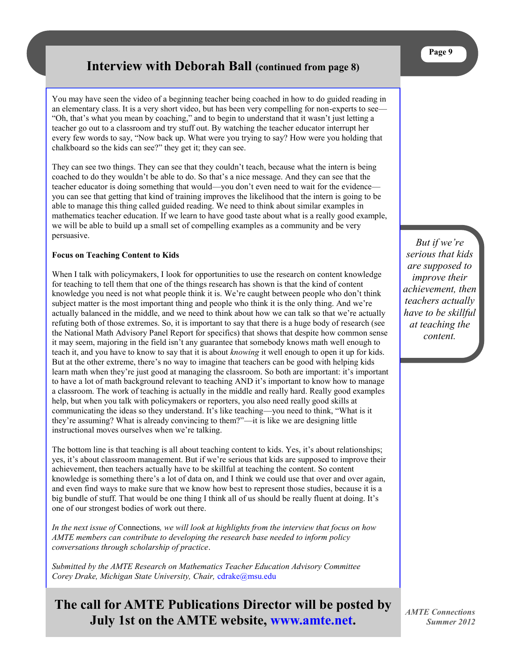## **Interview with Deborah Ball (continued from page 8)**

You may have seen the video of a beginning teacher being coached in how to do guided reading in an elementary class. It is a very short video, but has been very compelling for non-experts to see— ―Oh, that's what you mean by coaching,‖ and to begin to understand that it wasn't just letting a teacher go out to a classroom and try stuff out. By watching the teacher educator interrupt her every few words to say, "Now back up. What were you trying to say? How were you holding that chalkboard so the kids can see?" they get it; they can see.

They can see two things. They can see that they couldn't teach, because what the intern is being coached to do they wouldn't be able to do. So that's a nice message. And they can see that the teacher educator is doing something that would—you don't even need to wait for the evidence you can see that getting that kind of training improves the likelihood that the intern is going to be able to manage this thing called guided reading. We need to think about similar examples in mathematics teacher education. If we learn to have good taste about what is a really good example, we will be able to build up a small set of compelling examples as a community and be very persuasive.

#### **Focus on Teaching Content to Kids**

When I talk with policymakers, I look for opportunities to use the research on content knowledge for teaching to tell them that one of the things research has shown is that the kind of content knowledge you need is not what people think it is. We're caught between people who don't think subject matter is the most important thing and people who think it is the only thing. And we're actually balanced in the middle, and we need to think about how we can talk so that we're actually refuting both of those extremes. So, it is important to say that there is a huge body of research (see the National Math Advisory Panel Report for specifics) that shows that despite how common sense it may seem, majoring in the field isn't any guarantee that somebody knows math well enough to teach it, and you have to know to say that it is about *knowing* it well enough to open it up for kids. But at the other extreme, there's no way to imagine that teachers can be good with helping kids learn math when they're just good at managing the classroom. So both are important: it's important to have a lot of math background relevant to teaching AND it's important to know how to manage a classroom. The work of teaching is actually in the middle and really hard. Really good examples help, but when you talk with policymakers or reporters, you also need really good skills at communicating the ideas so they understand. It's like teaching—you need to think, "What is it they're assuming? What is already convincing to them?"—it is like we are designing little instructional moves ourselves when we're talking.

The bottom line is that teaching is all about teaching content to kids. Yes, it's about relationships; yes, it's about classroom management. But if we're serious that kids are supposed to improve their achievement, then teachers actually have to be skillful at teaching the content. So content knowledge is something there's a lot of data on, and I think we could use that over and over again, and even find ways to make sure that we know how best to represent those studies, because it is a big bundle of stuff. That would be one thing I think all of us should be really fluent at doing. It's one of our strongest bodies of work out there.

*In the next issue of* Connections*, we will look at highlights from the interview that focus on how AMTE members can contribute to developing the research base needed to inform policy conversations through scholarship of practice*.

*Submitted by the AMTE Research on Mathematics Teacher Education Advisory Committee Corey Drake, Michigan State University, Chair,* [cdrake@msu.edu](mailto:cdrake@msu.edu)

**The call for AMTE Publications Director will be posted by July 1st on the AMTE website, [www.amte.net.](http://www.amte.net)**

*But if we're serious that kids are supposed to improve their achievement, then teachers actually have to be skillful at teaching the content.*

**Page 9**

*AMTE Connections Summer 2012*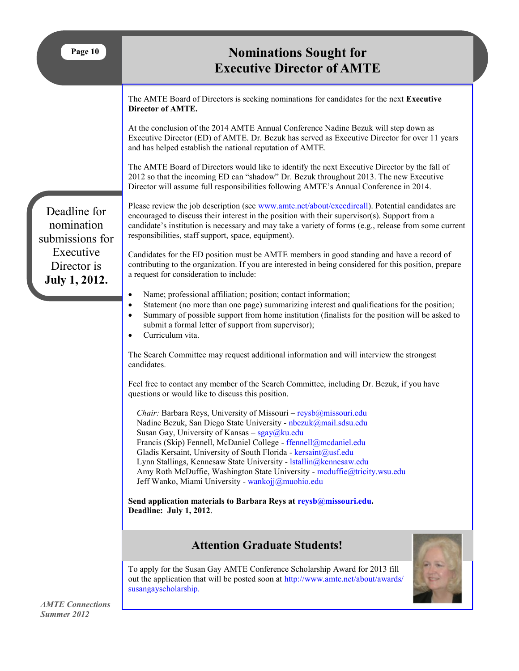<span id="page-9-0"></span>

| Page 10                                                                                           | <b>Nominations Sought for</b><br><b>Executive Director of AMTE</b>                                                                                                                                                                                                                                                                                                                                                                                                                                                                 |  |  |
|---------------------------------------------------------------------------------------------------|------------------------------------------------------------------------------------------------------------------------------------------------------------------------------------------------------------------------------------------------------------------------------------------------------------------------------------------------------------------------------------------------------------------------------------------------------------------------------------------------------------------------------------|--|--|
|                                                                                                   | The AMTE Board of Directors is seeking nominations for candidates for the next Executive<br>Director of AMTE.                                                                                                                                                                                                                                                                                                                                                                                                                      |  |  |
| Deadline for<br>nomination<br>submissions for<br>Executive<br>Director is<br><b>July 1, 2012.</b> | At the conclusion of the 2014 AMTE Annual Conference Nadine Bezuk will step down as<br>Executive Director (ED) of AMTE. Dr. Bezuk has served as Executive Director for over 11 years<br>and has helped establish the national reputation of AMTE.                                                                                                                                                                                                                                                                                  |  |  |
|                                                                                                   | The AMTE Board of Directors would like to identify the next Executive Director by the fall of<br>2012 so that the incoming ED can "shadow" Dr. Bezuk throughout 2013. The new Executive<br>Director will assume full responsibilities following AMTE's Annual Conference in 2014.                                                                                                                                                                                                                                                  |  |  |
|                                                                                                   | Please review the job description (see www.amte.net/about/execdireall). Potential candidates are<br>encouraged to discuss their interest in the position with their supervisor(s). Support from a<br>candidate's institution is necessary and may take a variety of forms (e.g., release from some current<br>responsibilities, staff support, space, equipment).                                                                                                                                                                  |  |  |
|                                                                                                   | Candidates for the ED position must be AMTE members in good standing and have a record of<br>contributing to the organization. If you are interested in being considered for this position, prepare<br>a request for consideration to include:                                                                                                                                                                                                                                                                                     |  |  |
|                                                                                                   | Name; professional affiliation; position; contact information;<br>$\bullet$<br>Statement (no more than one page) summarizing interest and qualifications for the position;<br>$\bullet$<br>Summary of possible support from home institution (finalists for the position will be asked to<br>submit a formal letter of support from supervisor);<br>Curriculum vita.                                                                                                                                                               |  |  |
|                                                                                                   | The Search Committee may request additional information and will interview the strongest<br>candidates.                                                                                                                                                                                                                                                                                                                                                                                                                            |  |  |
|                                                                                                   | Feel free to contact any member of the Search Committee, including Dr. Bezuk, if you have<br>questions or would like to discuss this position.                                                                                                                                                                                                                                                                                                                                                                                     |  |  |
|                                                                                                   | Chair: Barbara Reys, University of Missouri - reysb@missouri.edu<br>Nadine Bezuk, San Diego State University - nbezuk@mail.sdsu.edu<br>Susan Gay, University of Kansas – sgay@ku.edu<br>Francis (Skip) Fennell, McDaniel College - ffennell@mcdaniel.edu<br>Gladis Kersaint, University of South Florida - kersaint@usf.edu<br>Lynn Stallings, Kennesaw State University - Istallin@kennesaw.edu<br>Amy Roth McDuffie, Washington State University - mcduffie@tricity.wsu.edu<br>Jeff Wanko, Miami University - wankojj@muohio.edu |  |  |
|                                                                                                   | Send application materials to Barbara Reys at reysb@missouri.edu.<br>Deadline: July 1, 2012.                                                                                                                                                                                                                                                                                                                                                                                                                                       |  |  |
|                                                                                                   | <b>Attention Graduate Students!</b>                                                                                                                                                                                                                                                                                                                                                                                                                                                                                                |  |  |
|                                                                                                   | To apply for the Susan Gay AMTE Conference Scholarship Award for 2013 fill<br>out the application that will be posted soon at http://www.amte.net/about/awards/<br>susangayscholarship.                                                                                                                                                                                                                                                                                                                                            |  |  |
| <b>AMTE</b> Connections<br>Summer 2012                                                            |                                                                                                                                                                                                                                                                                                                                                                                                                                                                                                                                    |  |  |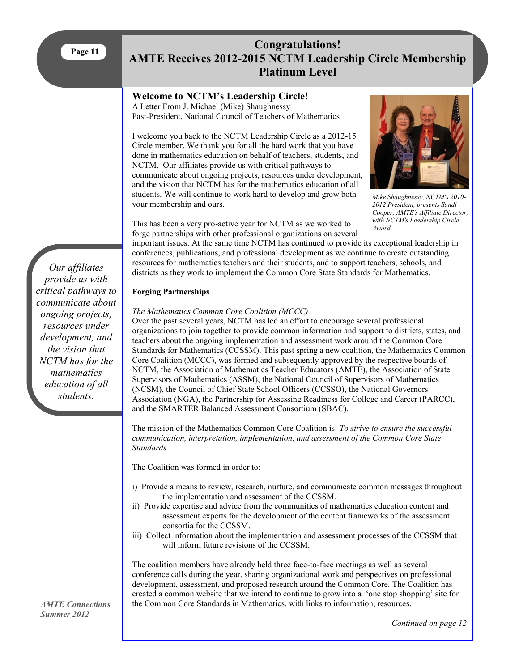## <span id="page-10-0"></span>**Congratulations! AMTE Receives 2012-2015 NCTM Leadership Circle Membership Platinum Level**

## **Welcome to NCTM's Leadership Circle!**

A Letter From J. Michael (Mike) Shaughnessy Past-President, National Council of Teachers of Mathematics

I welcome you back to the NCTM Leadership Circle as a 2012-15 Circle member. We thank you for all the hard work that you have done in mathematics education on behalf of teachers, students, and NCTM. Our affiliates provide us with critical pathways to communicate about ongoing projects, resources under development, and the vision that NCTM has for the mathematics education of all students. We will continue to work hard to develop and grow both your membership and ours.



*Mike Shaughnessy, NCTM's 2010- 2012 President, presents Sandi Cooper, AMTE's Affiliate Director, with NCTM's Leadership Circle Award.*

This has been a very pro-active year for NCTM as we worked to forge partnerships with other professional organizations on several

important issues. At the same time NCTM has continued to provide its exceptional leadership in conferences, publications, and professional development as we continue to create outstanding resources for mathematics teachers and their students, and to support teachers, schools, and districts as they work to implement the Common Core State Standards for Mathematics.

## **Forging Partnerships**

## *The Mathematics Common Core Coalition (MCCC)*

Over the past several years, NCTM has led an effort to encourage several professional organizations to join together to provide common information and support to districts, states, and teachers about the ongoing implementation and assessment work around the Common Core Standards for Mathematics (CCSSM). This past spring a new coalition, the Mathematics Common Core Coalition (MCCC), was formed and subsequently approved by the respective boards of NCTM, the Association of Mathematics Teacher Educators (AMTE), the Association of State Supervisors of Mathematics (ASSM), the National Council of Supervisors of Mathematics (NCSM), the Council of Chief State School Officers (CCSSO), the National Governors Association (NGA), the Partnership for Assessing Readiness for College and Career (PARCC), and the SMARTER Balanced Assessment Consortium (SBAC).

The mission of the Mathematics Common Core Coalition is: *To strive to ensure the successful communication, interpretation, implementation, and assessment of the Common Core State Standards.*

The Coalition was formed in order to:

- i) Provide a means to review, research, nurture, and communicate common messages throughout the implementation and assessment of the CCSSM.
- ii) Provide expertise and advice from the communities of mathematics education content and assessment experts for the development of the content frameworks of the assessment consortia for the CCSSM.
- iii) Collect information about the implementation and assessment processes of the CCSSM that will inform future revisions of the CCSSM.

The coalition members have already held three face-to-face meetings as well as several conference calls during the year, sharing organizational work and perspectives on professional development, assessment, and proposed research around the Common Core. The Coalition has created a common website that we intend to continue to grow into a 'one stop shopping' site for the Common Core Standards in Mathematics, with links to information, resources,

*Our affiliates provide us with critical pathways to communicate about ongoing projects, resources under development, and the vision that NCTM has for the mathematics education of all students.* 

*AMTE Connections Summer 2012*

*Continued on page 12*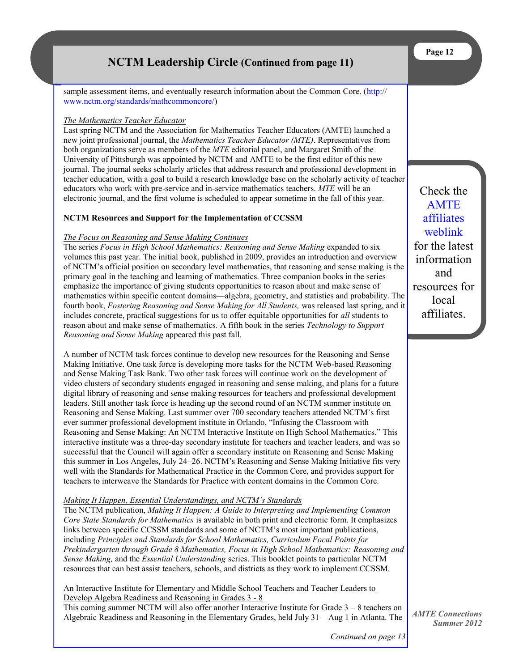## **NCTM Leadership Circle (Continued from page 11)**

sample assessment items, and eventually research information about the Common Core. ([http://](http://www.nctm.org/standards/mathcommoncore/) [www.nctm.org/standards/mathcommoncore/\)](http://www.nctm.org/standards/mathcommoncore/)

#### *The Mathematics Teacher Educator*

Last spring NCTM and the Association for Mathematics Teacher Educators (AMTE) launched a new joint professional journal, the *Mathematics Teacher Educator (MTE)*. Representatives from both organizations serve as members of the *MTE* editorial panel, and Margaret Smith of the University of Pittsburgh was appointed by NCTM and AMTE to be the first editor of this new journal. The journal seeks scholarly articles that address research and professional development in teacher education, with a goal to build a research knowledge base on the scholarly activity of teacher educators who work with pre-service and in-service mathematics teachers. *MTE* will be an electronic journal, and the first volume is scheduled to appear sometime in the fall of this year.

#### **NCTM Resources and Support for the Implementation of CCSSM**

#### *The Focus on Reasoning and Sense Making Continues*

The series *Focus in High School Mathematics: Reasoning and Sense Making* expanded to six volumes this past year. The initial book, published in 2009, provides an introduction and overview of NCTM's official position on secondary level mathematics, that reasoning and sense making is the primary goal in the teaching and learning of mathematics. Three companion books in the series emphasize the importance of giving students opportunities to reason about and make sense of mathematics within specific content domains—algebra, geometry, and statistics and probability. The fourth book, *Fostering Reasoning and Sense Making for All Students,* was released last spring, and it includes concrete, practical suggestions for us to offer equitable opportunities for *all* students to reason about and make sense of mathematics. A fifth book in the series *Technology to Support Reasoning and Sense Making* appeared this past fall.

A number of NCTM task forces continue to develop new resources for the Reasoning and Sense Making Initiative. One task force is developing more tasks for the NCTM Web-based Reasoning and Sense Making Task Bank. Two other task forces will continue work on the development of video clusters of secondary students engaged in reasoning and sense making, and plans for a future digital library of reasoning and sense making resources for teachers and professional development leaders. Still another task force is heading up the second round of an NCTM summer institute on Reasoning and Sense Making. Last summer over 700 secondary teachers attended NCTM's first ever summer professional development institute in Orlando, "Infusing the Classroom with Reasoning and Sense Making: An NCTM Interactive Institute on High School Mathematics." This interactive institute was a three-day secondary institute for teachers and teacher leaders, and was so successful that the Council will again offer a secondary institute on Reasoning and Sense Making this summer in Los Angeles, July 24–26. NCTM's Reasoning and Sense Making Initiative fits very well with the Standards for Mathematical Practice in the Common Core, and provides support for teachers to interweave the Standards for Practice with content domains in the Common Core.

#### *Making It Happen, Essential Understandings, and NCTM's Standards*

The NCTM publication, *Making It Happen: A Guide to Interpreting and Implementing Common Core State Standards for Mathematics* is available in both print and electronic form. It emphasizes links between specific CCSSM standards and some of NCTM's most important publications, including *Principles and Standards for School Mathematics, Curriculum Focal Points for Prekindergarten through Grade 8 Mathematics, Focus in High School Mathematics: Reasoning and Sense Making,* and the *Essential Understanding* series. This booklet points to particular NCTM resources that can best assist teachers, schools, and districts as they work to implement CCSSM.

An Interactive Institute for Elementary and Middle School Teachers and Teacher Leaders to Develop Algebra Readiness and Reasoning in Grades 3 - 8

This coming summer NCTM will also offer another Interactive Institute for Grade 3 – 8 teachers on Algebraic Readiness and Reasoning in the Elementary Grades, held July 31 – Aug 1 in Atlanta. The

Check the [AMTE](http://www.amte.net/affiliates)  [affiliates](http://www.amte.net/affiliates)  [weblink](http://www.amte.net/affiliates) for the latest information and resources for local affiliates.

*AMTE Connections Summer 2012*

*Continued on page 13*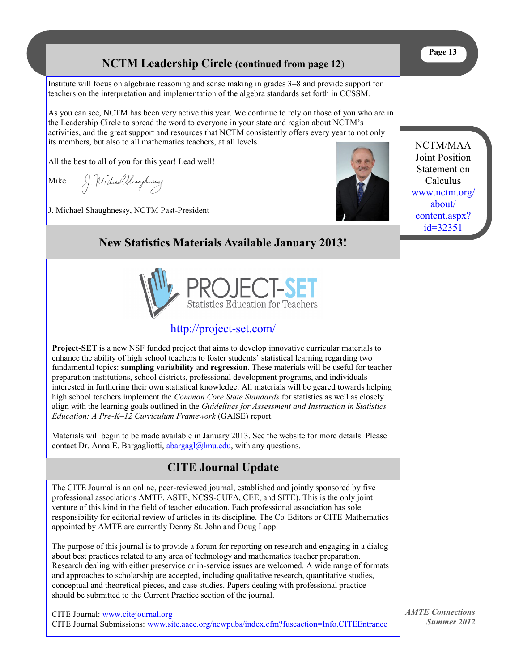## **NCTM Leadership Circle (continued from page 12**)

<span id="page-12-0"></span>Institute will focus on algebraic reasoning and sense making in grades 3–8 and provide support for teachers on the interpretation and implementation of the algebra standards set forth in CCSSM.

As you can see, NCTM has been very active this year. We continue to rely on those of you who are in the Leadership Circle to spread the word to everyone in your state and region about NCTM's activities, and the great support and resources that NCTM consistently offers every year to not only its members, but also to all mathematics teachers, at all levels.

All the best to all of you for this year! Lead well!

Mike

J. Michael Shaughnesseg

J. Michael Shaughnessy, NCTM Past-President



NCTM/MAA Joint Position Statement on Calculus [www.nctm.org/](http://www.nctm.org/about/content.aspx?id=32351) [about/](http://www.nctm.org/about/content.aspx?id=32351) [content.aspx?](http://www.nctm.org/about/content.aspx?id=32351) [id=32351](http://www.nctm.org/about/content.aspx?id=32351) 

## **New Statistics Materials Available January 2013!**



## <http://project-set.com/>

**Project-SET** is a new NSF funded project that aims to develop innovative curricular materials to enhance the ability of high school teachers to foster students' statistical learning regarding two fundamental topics: **sampling variability** and **regression**. These materials will be useful for teacher preparation institutions, school districts, professional development programs, and individuals interested in furthering their own statistical knowledge. All materials will be geared towards helping high school teachers implement the *Common Core State Standards* for statistics as well as closely align with the learning goals outlined in the *Guidelines for Assessment and Instruction in Statistics Education: A Pre-K–12 Curriculum Framework* (GAISE) report.

Materials will begin to be made available in January 2013. See the website for more details. Please contact Dr. Anna E. Bargagliotti,  $abargag[@]mu.edu$ , with any questions.

## **CITE Journal Update**

The CITE Journal is an online, peer-reviewed journal, established and jointly sponsored by five professional associations AMTE, ASTE, NCSS-CUFA, CEE, and SITE). This is the only joint venture of this kind in the field of teacher education. Each professional association has sole responsibility for editorial review of articles in its discipline. The Co-Editors or CITE-Mathematics appointed by AMTE are currently Denny St. John and Doug Lapp.

The purpose of this journal is to provide a forum for reporting on research and engaging in a dialog about best practices related to any area of technology and mathematics teacher preparation. Research dealing with either preservice or in-service issues are welcomed. A wide range of formats and approaches to scholarship are accepted, including qualitative research, quantitative studies, conceptual and theoretical pieces, and case studies. Papers dealing with professional practice should be submitted to the Current Practice section of the journal.

CITE Journal: [www.citejournal.org](http://www.citejournal.org/) CITE Journal Submissions: www.[site.aace.org/newpubs/index.cfm?fuseaction=Info.CITEEntrance](http://site.aace.org/newpubs/index.cfm?fuseaction=Info.CITEEntrance) *AMTE Connections Summer 2012*

**Page 13**